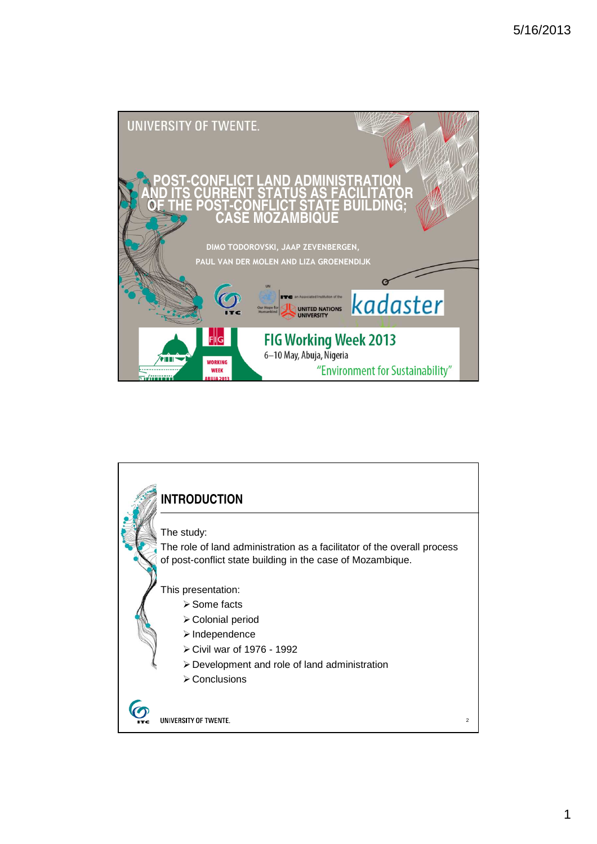

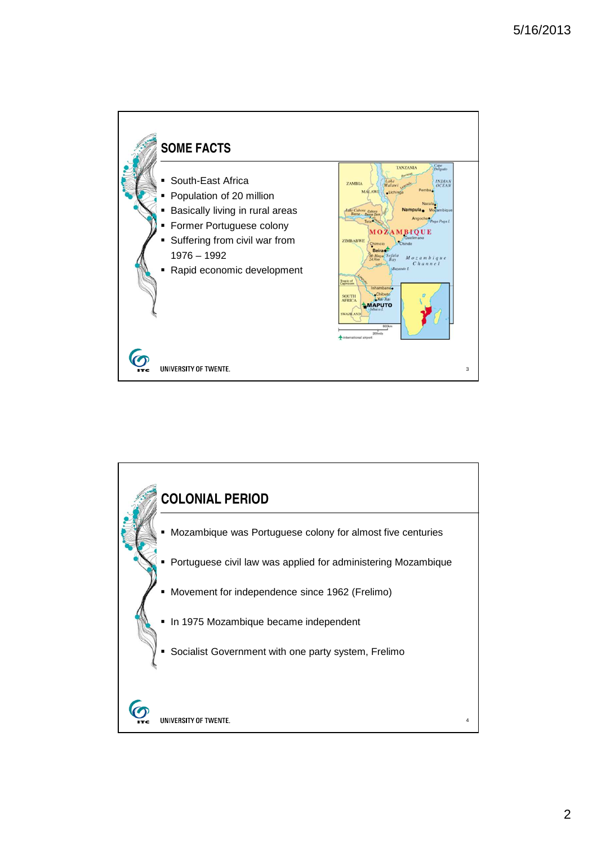

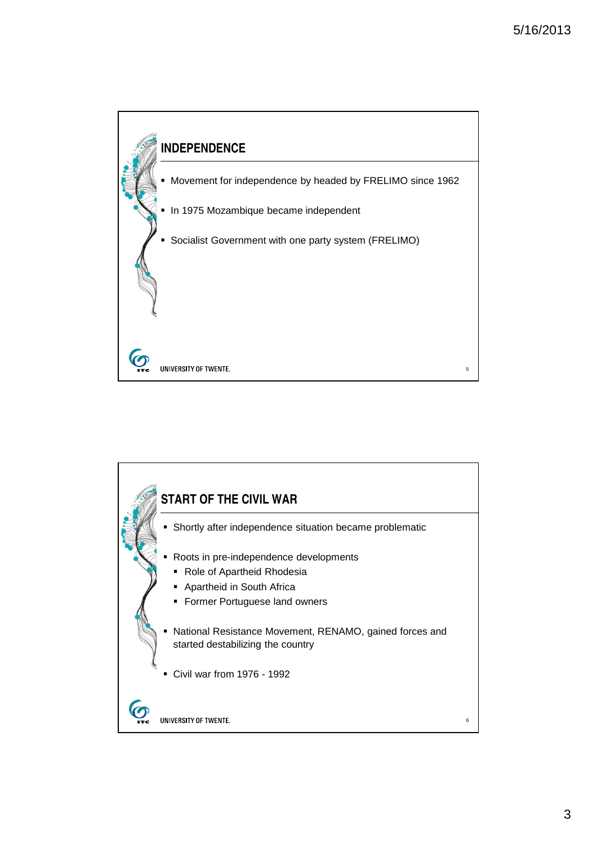

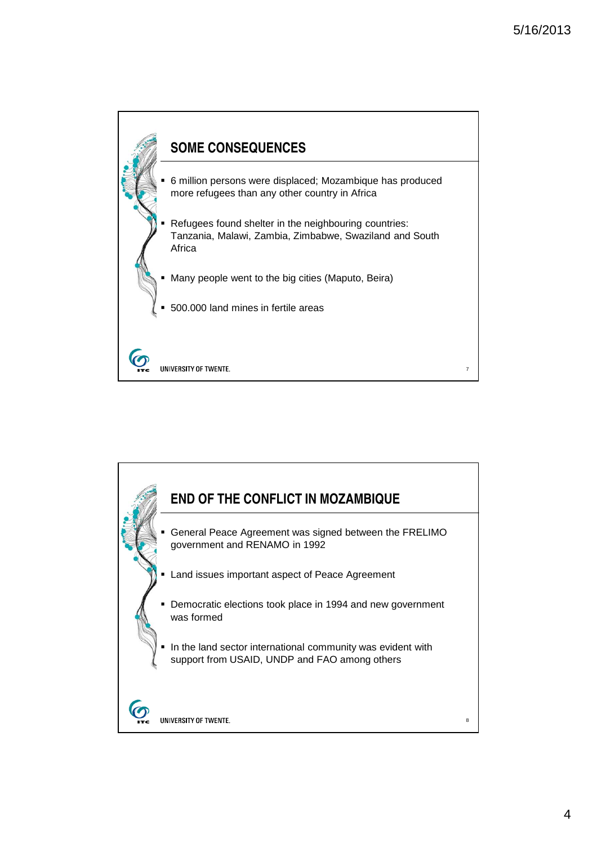

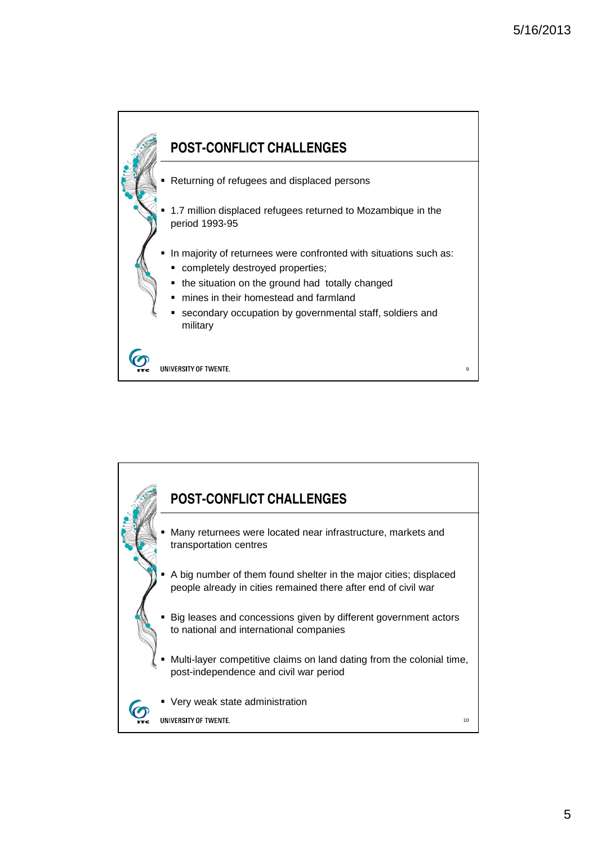

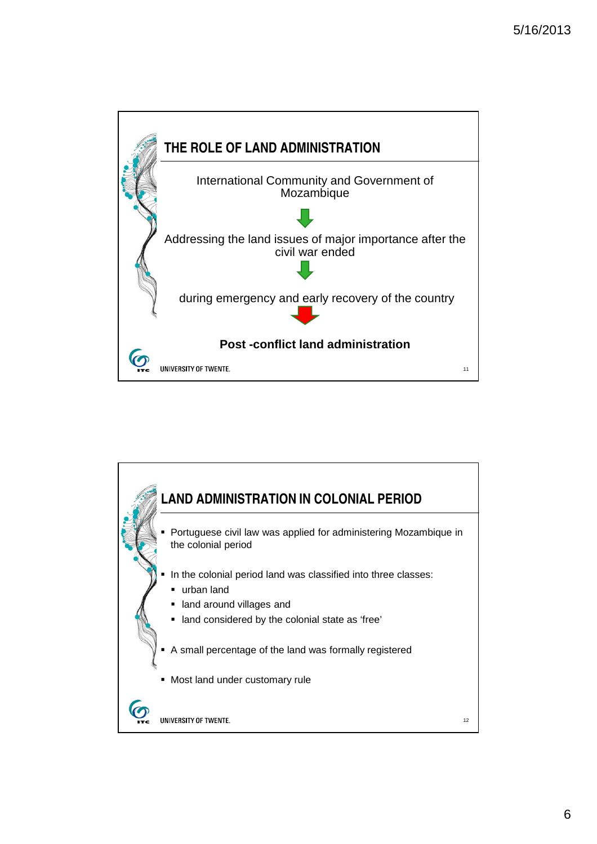

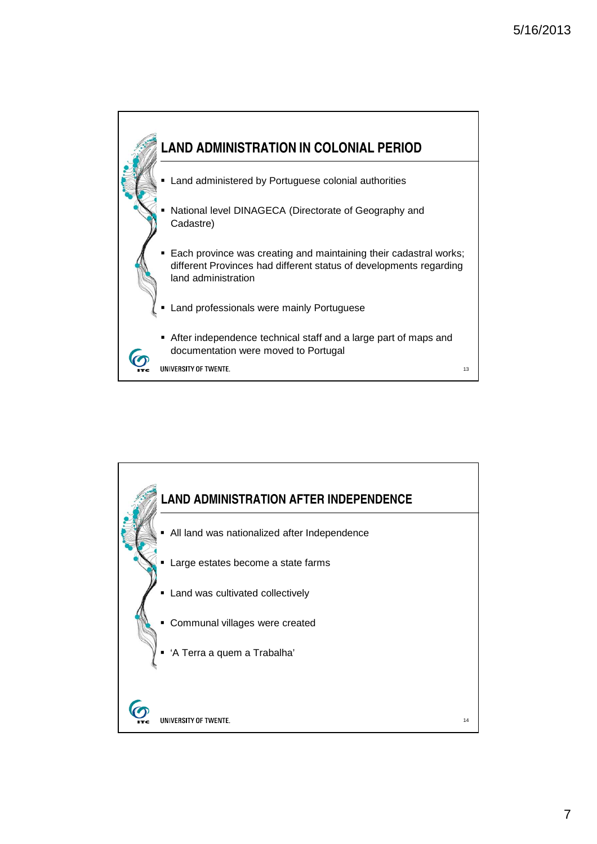

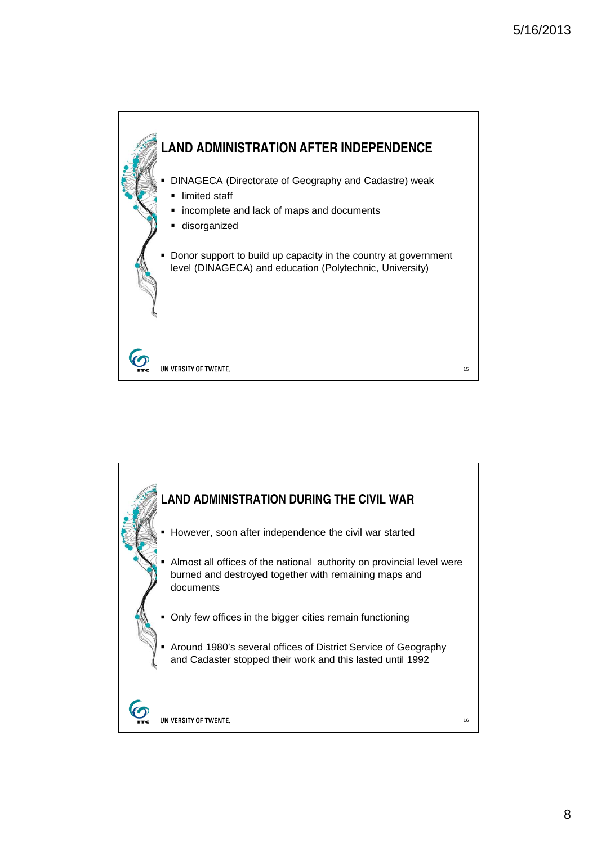

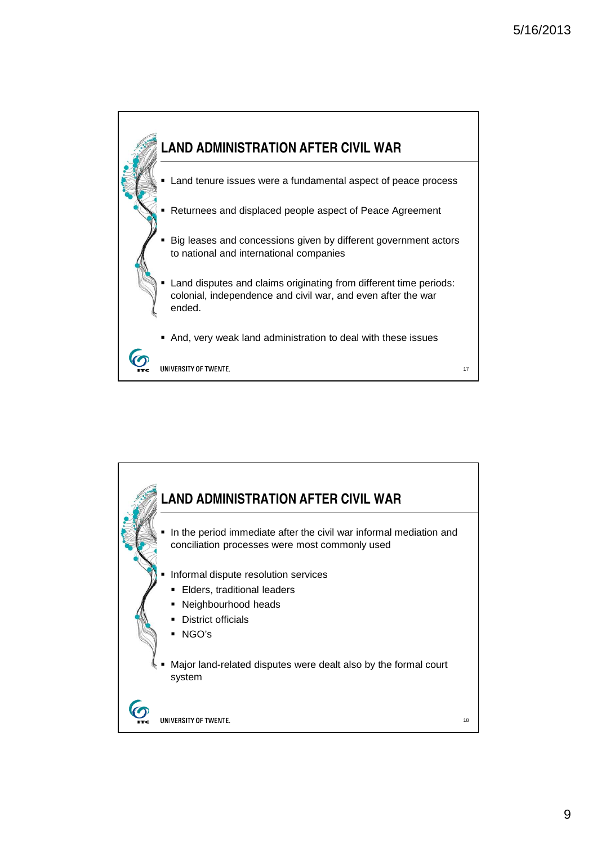



9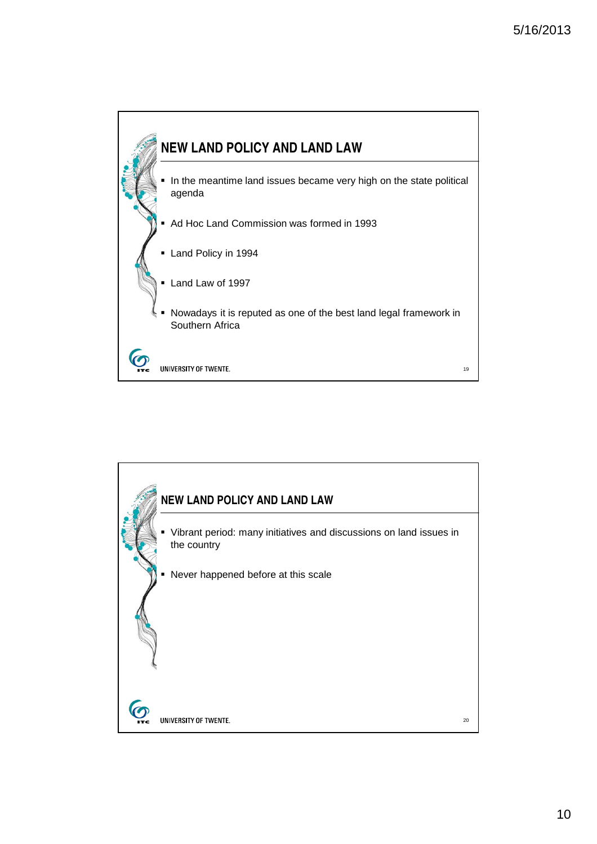

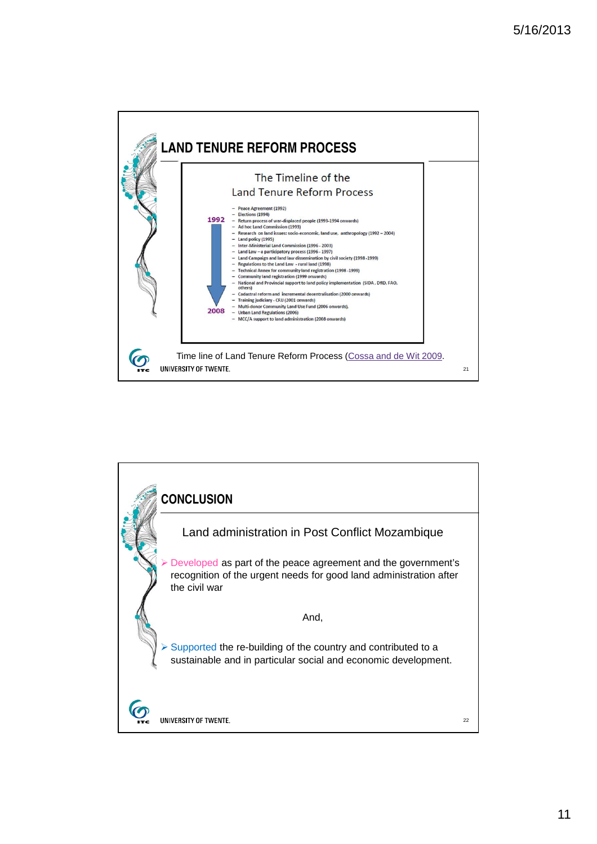

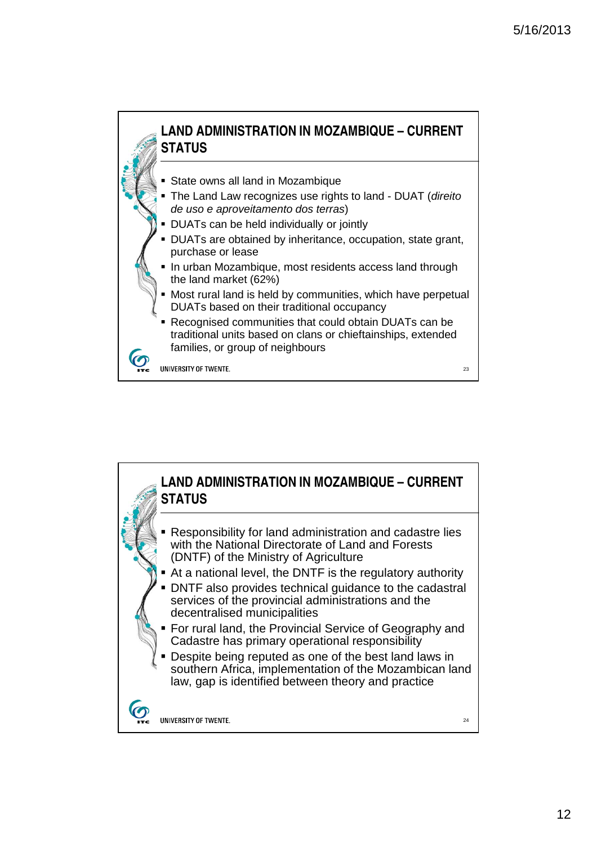